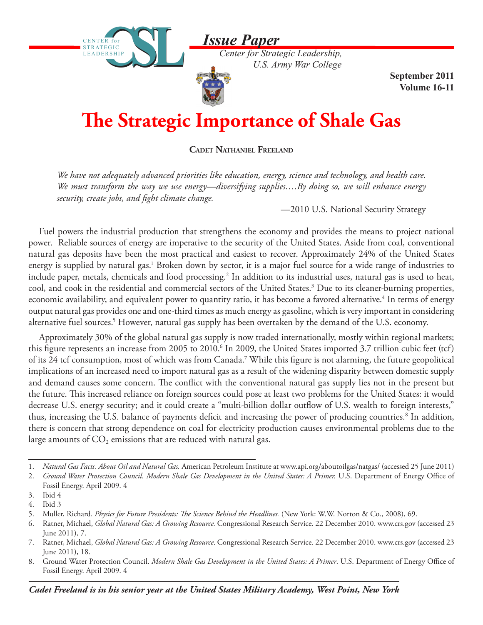*Issue Paper*

CENTER for STRATEGIC LEADERSHIP

**STRATEGIC** LEADERSHIP

*Center for Strategic Leadership, U.S. Army War College*

> **September 2011 Volume 16-11**

## **The Strategic Importance of Shale Gas**

**Cadet Nathaniel Freeland**

*We have not adequately advanced priorities like education, energy, science and technology, and health care. We must transform the way we use energy—diversifying supplies….By doing so, we will enhance energy security, create jobs, and fight climate change.*

—2010 U.S. National Security Strategy

Fuel powers the industrial production that strengthens the economy and provides the means to project national power. Reliable sources of energy are imperative to the security of the United States. Aside from coal, conventional natural gas deposits have been the most practical and easiest to recover. Approximately 24% of the United States energy is supplied by natural gas.<sup>1</sup> Broken down by sector, it is a major fuel source for a wide range of industries to include paper, metals, chemicals and food processing.<sup>2</sup> In addition to its industrial uses, natural gas is used to heat, cool, and cook in the residential and commercial sectors of the United States.<sup>3</sup> Due to its cleaner-burning properties, economic availability, and equivalent power to quantity ratio, it has become a favored alternative.<sup>4</sup> In terms of energy output natural gas provides one and one-third times as much energy as gasoline, which is very important in considering alternative fuel sources.<sup>5</sup> However, natural gas supply has been overtaken by the demand of the U.S. economy.

Approximately 30% of the global natural gas supply is now traded internationally, mostly within regional markets; this figure represents an increase from 2005 to 2010.<sup>6</sup> In 2009, the United States imported 3.7 trillion cubic feet (tcf) of its 24 tcf consumption, most of which was from Canada.7 While this figure is not alarming, the future geopolitical implications of an increased need to import natural gas as a result of the widening disparity between domestic supply and demand causes some concern. The conflict with the conventional natural gas supply lies not in the present but the future. This increased reliance on foreign sources could pose at least two problems for the United States: it would decrease U.S. energy security; and it could create a "multi-billion dollar outflow of U.S. wealth to foreign interests," thus, increasing the U.S. balance of payments deficit and increasing the power of producing countries.<sup>8</sup> In addition, there is concern that strong dependence on coal for electricity production causes environmental problems due to the large amounts of  $CO<sub>2</sub>$  emissions that are reduced with natural gas.

<sup>1.</sup> *Natural Gas Facts. About Oil and Natural Gas.* American Petroleum Institute at www.api.org/aboutoilgas/natgas/ (accessed 25 June 2011)

<sup>2.</sup> *Ground Water Protection Council. Modern Shale Gas Development in the United States: A Primer.* U.S. Department of Energy Office of Fossil Energy. April 2009. 4

<sup>3.</sup> Ibid 4 4. Ibid 3

<sup>5.</sup> Muller, Richard. *Physics for Future Presidents: The Science Behind the Headlines.* (New York: W.W. Norton & Co., 2008), 69.

<sup>6.</sup> Ratner, Michael, *Global Natural Gas: A Growing Resource.* Congressional Research Service. 22 December 2010. www.crs.gov (accessed 23 June 2011), 7.

<sup>7.</sup> Ratner, Michael, *Global Natural Gas: A Growing Resource*. Congressional Research Service. 22 December 2010. www.crs.gov (accessed 23 June 2011), 18.

<sup>8.</sup> Ground Water Protection Council. *Modern Shale Gas Development in the United States: A Primer*. U.S. Department of Energy Office of Fossil Energy. April 2009. 4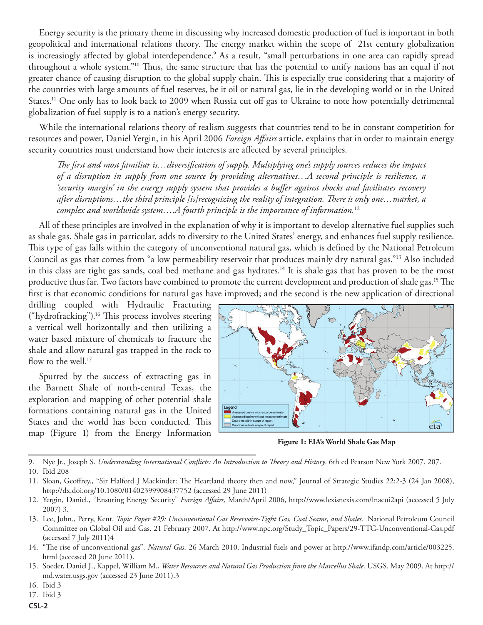Energy security is the primary theme in discussing why increased domestic production of fuel is important in both geopolitical and international relations theory. The energy market within the scope of 21st century globalization is increasingly affected by global interdependence.<sup>9</sup> As a result, "small perturbations in one area can rapidly spread throughout a whole system."10 Thus, the same structure that has the potential to unify nations has an equal if not greater chance of causing disruption to the global supply chain. This is especially true considering that a majority of the countries with large amounts of fuel reserves, be it oil or natural gas, lie in the developing world or in the United States.<sup>11</sup> One only has to look back to 2009 when Russia cut off gas to Ukraine to note how potentially detrimental globalization of fuel supply is to a nation's energy security.

While the international relations theory of realism suggests that countries tend to be in constant competition for resources and power, Daniel Yergin, in his April 2006 *Foreign Affairs* article, explains that in order to maintain energy security countries must understand how their interests are affected by several principles.

*The first and most familiar is…diversification of supply. Multiplying one's supply sources reduces the impact of a disruption in supply from one source by providing alternatives…A second principle is resilience, a 'security margin' in the energy supply system that provides a buffer against shocks and facilitates recovery after disruptions…the third principle [is]recognizing the reality of integration. There is only one…market, a complex and worldwide system….A fourth principle is the importance of information.*<sup>12</sup>

All of these principles are involved in the explanation of why it is important to develop alternative fuel supplies such as shale gas. Shale gas in particular, adds to diversity to the United States' energy, and enhances fuel supply resilience. This type of gas falls within the category of unconventional natural gas, which is defined by the National Petroleum Council as gas that comes from "a low permeability reservoir that produces mainly dry natural gas."13 Also included in this class are tight gas sands, coal bed methane and gas hydrates.<sup>14</sup> It is shale gas that has proven to be the most productive thus far. Two factors have combined to promote the current development and production of shale gas.<sup>15</sup> The first is that economic conditions for natural gas have improved; and the second is the new application of directional

drilling coupled with Hydraulic Fracturing ("hydrofracking").16 This process involves steering a vertical well horizontally and then utilizing a water based mixture of chemicals to fracture the shale and allow natural gas trapped in the rock to flow to the well.<sup>17</sup>

Spurred by the success of extracting gas in the Barnett Shale of north-central Texas, the exploration and mapping of other potential shale formations containing natural gas in the United States and the world has been conducted. This map (Figure 1) from the Energy Information



**Figure 1: EIA's World Shale Gas Map**

9. Nye Jr., Joseph S. *Understanding International Conflicts: An Introduction to Theory and History*. 6th ed Pearson New York 2007. 207.

<sup>10.</sup> Ibid 208

<sup>11.</sup> Sloan, Geoffrey., "Sir Halford J Mackinder: The Heartland theory then and now," Journal of Strategic Studies 22:2-3 (24 Jan 2008), http://dx.doi.org/10.1080/01402399908437752 (accessed 29 June 2011)

<sup>12.</sup> Yergin, Daniel., "Ensuring Energy Security" *Foreign Affairs,* March/April 2006, http://www.lexisnexis.com/lnacui2api (accessed 5 July 2007) 3.

<sup>13.</sup> Lee, John., Perry, Kent. *Topic Paper #29: Unconventional Gas Reservoirs-Tight Gas, Coal Seams, and Shales.* National Petroleum Council Committee on Global Oil and Gas. 21 February 2007. At http://www.npc.org/Study\_Topic\_Papers/29-TTG-Unconventional-Gas.pdf (accessed 7 July 2011)4

<sup>14.</sup> "The rise of unconventional gas". *Natural Gas*. 26 March 2010. Industrial fuels and power at http://www.ifandp.com/article/003225. html (accessed 20 June 2011).

<sup>15.</sup> Soeder, Daniel J., Kappel, William M., *Water Resources and Natural Gas Production from the Marcellus Shale.* USGS. May 2009. At http:// md.water.usgs.gov (accessed 23 June 2011).3

<sup>16.</sup> Ibid 3

<sup>17.</sup> Ibid 3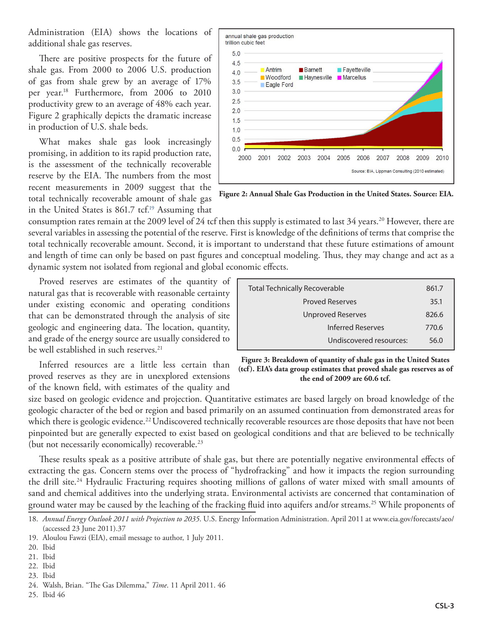Administration (EIA) shows the locations of additional shale gas reserves.

There are positive prospects for the future of shale gas. From 2000 to 2006 U.S. production of gas from shale grew by an average of 17% per year.18 Furthermore, from 2006 to 2010 productivity grew to an average of 48% each year. Figure 2 graphically depicts the dramatic increase in production of U.S. shale beds.

What makes shale gas look increasingly promising, in addition to its rapid production rate, is the assessment of the technically recoverable reserve by the EIA. The numbers from the most recent measurements in 2009 suggest that the total technically recoverable amount of shale gas in the United States is 861.7 tcf. 19 Assuming that



**Figure 2: Annual Shale Gas Production in the United States. Source: EIA.**

consumption rates remain at the 2009 level of 24 tcf then this supply is estimated to last 34 years.<sup>20</sup> However, there are several variables in assessing the potential of the reserve. First is knowledge of the definitions of terms that comprise the total technically recoverable amount. Second, it is important to understand that these future estimations of amount and length of time can only be based on past figures and conceptual modeling. Thus, they may change and act as a dynamic system not isolated from regional and global economic effects.

Proved reserves are estimates of the quantity of natural gas that is recoverable with reasonable certainty under existing economic and operating conditions that can be demonstrated through the analysis of site geologic and engineering data. The location, quantity, and grade of the energy source are usually considered to be well established in such reserves.<sup>21</sup>

| be well established in such reserves.                 |              |
|-------------------------------------------------------|--------------|
| Inferred resources are a little less certain than     | Fig<br>(tcf) |
| proved reserves as they are in unexplored extensions  |              |
| of the known field, with estimates of the quality and |              |

| 861.7 |
|-------|
| 35.1  |
| 826.6 |
| 770.6 |
| 56 O  |
|       |

**Figure 3: Breakdown of quantity of shale gas in the United States**  . EIA's data group estimates that proved shale gas reserves as of **the end of 2009 are 60.6 tcf.**

size based on geologic evidence and projection. Quantitative estimates are based largely on broad knowledge of the geologic character of the bed or region and based primarily on an assumed continuation from demonstrated areas for which there is geologic evidence.<sup>22</sup> Undiscovered technically recoverable resources are those deposits that have not been pinpointed but are generally expected to exist based on geological conditions and that are believed to be technically (but not necessarily economically) recoverable.<sup>23</sup>

These results speak as a positive attribute of shale gas, but there are potentially negative environmental effects of extracting the gas. Concern stems over the process of "hydrofracking" and how it impacts the region surrounding the drill site.24 Hydraulic Fracturing requires shooting millions of gallons of water mixed with small amounts of sand and chemical additives into the underlying strata. Environmental activists are concerned that contamination of ground water may be caused by the leaching of the fracking fluid into aquifers and/or streams.25 While proponents of

- 21. Ibid
- 22. Ibid
- 23. Ibid

25. Ibid 46

<sup>18.</sup> *Annual Energy Outlook 2011 with Projection to 2035*. U.S. Energy Information Administration. April 2011 at www.eia.gov/forecasts/aeo/ (accessed 23 June 2011).37

<sup>19.</sup> Aloulou Fawzi (EIA), email message to author, 1 July 2011.

<sup>20.</sup> Ibid

<sup>24.</sup> Walsh, Brian. "The Gas Dilemma," *Time*. 11 April 2011. 46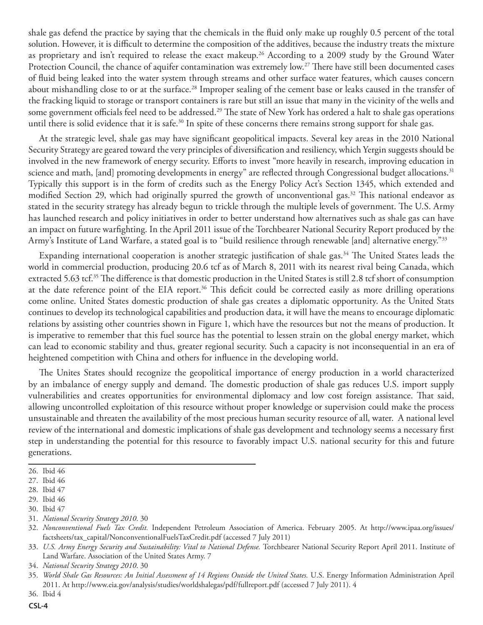shale gas defend the practice by saying that the chemicals in the fluid only make up roughly 0.5 percent of the total solution. However, it is difficult to determine the composition of the additives, because the industry treats the mixture as proprietary and isn't required to release the exact makeup.<sup>26</sup> According to a 2009 study by the Ground Water Protection Council, the chance of aquifer contamination was extremely low.<sup>27</sup> There have still been documented cases of fluid being leaked into the water system through streams and other surface water features, which causes concern about mishandling close to or at the surface.<sup>28</sup> Improper sealing of the cement base or leaks caused in the transfer of the fracking liquid to storage or transport containers is rare but still an issue that many in the vicinity of the wells and some government officials feel need to be addressed.<sup>29</sup> The state of New York has ordered a halt to shale gas operations until there is solid evidence that it is safe.<sup>30</sup> In spite of these concerns there remains strong support for shale gas.

At the strategic level, shale gas may have significant geopolitical impacts. Several key areas in the 2010 National Security Strategy are geared toward the very principles of diversification and resiliency, which Yergin suggests should be involved in the new framework of energy security. Efforts to invest "more heavily in research, improving education in science and math, [and] promoting developments in energy" are reflected through Congressional budget allocations.<sup>31</sup> Typically this support is in the form of credits such as the Energy Policy Act's Section 1345, which extended and modified Section 29, which had originally spurred the growth of unconventional gas.<sup>32</sup> This national endeavor as stated in the security strategy has already begun to trickle through the multiple levels of government. The U.S. Army has launched research and policy initiatives in order to better understand how alternatives such as shale gas can have an impact on future warfighting. In the April 2011 issue of the Torchbearer National Security Report produced by the Army's Institute of Land Warfare, a stated goal is to "build resilience through renewable [and] alternative energy."33

Expanding international cooperation is another strategic justification of shale gas.<sup>34</sup> The United States leads the world in commercial production, producing 20.6 tcf as of March 8, 2011 with its nearest rival being Canada, which extracted 5.63 tcf.<sup>35</sup> The difference is that domestic production in the United States is still 2.8 tcf short of consumption at the date reference point of the EIA report.<sup>36</sup> This deficit could be corrected easily as more drilling operations come online. United States domestic production of shale gas creates a diplomatic opportunity. As the United Stats continues to develop its technological capabilities and production data, it will have the means to encourage diplomatic relations by assisting other countries shown in Figure 1, which have the resources but not the means of production. It is imperative to remember that this fuel source has the potential to lessen strain on the global energy market, which can lead to economic stability and thus, greater regional security. Such a capacity is not inconsequential in an era of heightened competition with China and others for influence in the developing world.

The Unites States should recognize the geopolitical importance of energy production in a world characterized by an imbalance of energy supply and demand. The domestic production of shale gas reduces U.S. import supply vulnerabilities and creates opportunities for environmental diplomacy and low cost foreign assistance. That said, allowing uncontrolled exploitation of this resource without proper knowledge or supervision could make the process unsustainable and threaten the availability of the most precious human security resource of all, water. A national level review of the international and domestic implications of shale gas development and technology seems a necessary first step in understanding the potential for this resource to favorably impact U.S. national security for this and future generations.

31. *National Security Strategy 2010*. 30

<sup>26.</sup> Ibid 46

<sup>27.</sup> Ibid 46

<sup>28.</sup> Ibid 47

<sup>29.</sup> Ibid 46

<sup>30.</sup> Ibid 47

<sup>32.</sup> *Nonconventional Fuels Tax Credit.* Independent Petroleum Association of America. February 2005. At http://www.ipaa.org/issues/ factsheets/tax\_capital/NonconventionalFuelsTaxCredit.pdf (accessed 7 July 2011)

<sup>33.</sup> *U.S. Army Energy Security and Sustainability: Vital to National Defense.* Torchbearer National Security Report April 2011. Institute of Land Warfare. Association of the United States Army. 7

<sup>34.</sup> *National Security Strategy 2010*. 30

<sup>35.</sup> *World Shale Gas Resources: An Initial Assessment of 14 Regions Outside the United States.* U.S. Energy Information Administration April 2011. At http://www.eia.gov/analysis/studies/worldshalegas/pdf/fullreport.pdf (accessed 7 July 2011). 4

<sup>36.</sup> Ibid 4